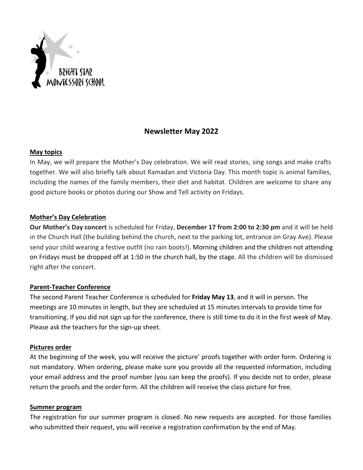

# **Newsletter May 2022**

#### **May topics**

In May, we will prepare the Mother's Day celebration. We will read stories, sing songs and make crafts together. We will also briefly talk about Ramadan and Victoria Day. This month topic is animal families, including the names of the family members, their diet and habitat. Children are welcome to share any good picture books or photos during our Show and Tell activity on Fridays.

# **Mother's Day Celebration**

**Our Mother's Day concert** is scheduled for Friday, **December 17 from 2:00 to 2:30 pm** and it will be held in the Church Hall (the building behind the church, next to the parking lot, entrance on Gray Ave). Please send your child wearing a festive outfit (no rain boots!). Morning children and the children not attending on Fridays must be dropped off at 1:50 in the church hall, by the stage. All the children will be dismissed right after the concert.

### **Parent-Teacher Conference**

The second Parent Teacher Conference is scheduled for **Friday May 13**, and it will in person. The meetings are 10 minutes in length, but they are scheduled at 15 minutes intervals to provide time for transitioning. If you did not sign up for the conference, there is still time to do it in the first week of May. Please ask the teachers for the sign-up sheet.

### **Pictures order**

At the beginning of the week, you will receive the picture' proofs together with order form. Ordering is not mandatory. When ordering, please make sure you provide all the requested information, including your email address and the proof number (you can keep the proofs). If you decide not to order, please return the proofs and the order form. All the children will receive the class picture for free.

#### **Summer program**

The registration for our summer program is closed. No new requests are accepted. For those families who submitted their request, you will receive a registration confirmation by the end of May.